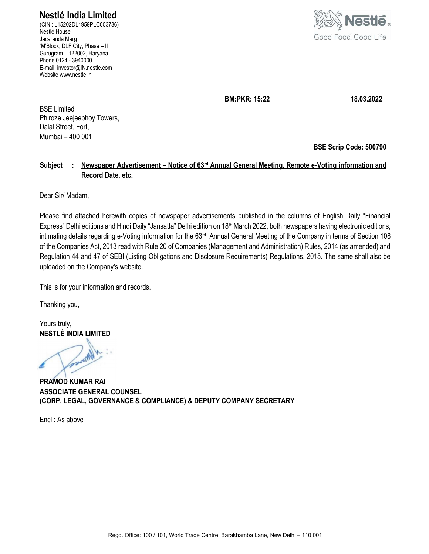Nestlé India Limited

(CIN : L15202DL1959PLC003786) Nestlé House Jacaranda Marg 'M'Block, DLF City, Phase – II Gurugram – 122002, Haryana Phone 0124 - 3940000 E-mail: investor@IN.nestle.com Website www.nestle.in



BM:PKR: 15:22 18.03.2022

BSE Limited Phiroze Jeejeebhoy Towers, Dalal Street, Fort, Mumbai – 400 001

BSE Scrip Code: 500790

# Subject : Newspaper Advertisement – Notice of 63<sup>rd</sup> Annual General Meeting, Remote e-Voting information and Record Date, etc.

Dear Sir/ Madam,

Please find attached herewith copies of newspaper advertisements published in the columns of English Daily "Financial Express" Delhi editions and Hindi Daily "Jansatta" Delhi edition on 18<sup>th</sup> March 2022, both newspapers having electronic editions, intimating details regarding e-Voting information for the 63<sup>rd</sup> Annual General Meeting of the Company in terms of Section 108 of the Companies Act, 2013 read with Rule 20 of Companies (Management and Administration) Rules, 2014 (as amended) and Regulation 44 and 47 of SEBI (Listing Obligations and Disclosure Requirements) Regulations, 2015. The same shall also be uploaded on the Company's website.

This is for your information and records.

Thanking you,

Yours truly, NESTLÉ INDIA LIMITED

. in Whom

PRAMOD KUMAR RAI ASSOCIATE GENERAL COUNSEL (CORP. LEGAL, GOVERNANCE & COMPLIANCE) & DEPUTY COMPANY SECRETARY

 $Fncl$   $\cdot$  As above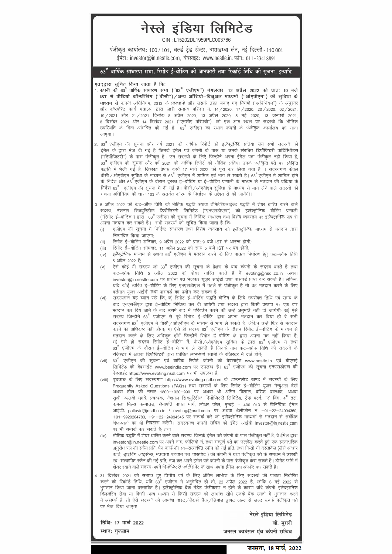

जनसत्ता, 18 मार्च, 2022